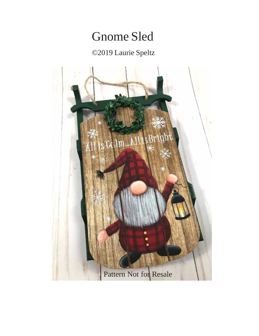## Gnome Sled

## ©2019 Laurie Speltz

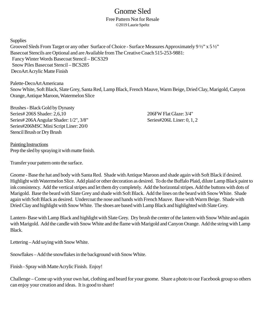## Gnome Sled

Free Pattern Not for Resale ©2019 Laurie Speltz

**Supplies** Grooved Sleds From Target or any other Surface of Choice - Surface Measures Approximately 9 ½" x 5 ½" Basecoat Stencils are Optional and are Available from The Creative Coach 515-253-9881: Fancy Winter Words Basecoat Stencil – BCS329 Snow Piles Basecoat Stencil – BCS285 DecoArt Acrylic Matte Finish

Palette-DecoArt Americana Snow White, Soft Black, Slate Grey, Santa Red, Lamp Black, French Mauve, Warm Beige, Dried Clay, Marigold, Canyon Orange, Antique Maroon, Watermelon Slice

Brushes - Black Gold by Dynasty Series# 206S Shader: 2,6,10 206FW Flat Glaze: 3/4" Series# 206A Angular Shader: 1/2", 3/8" Series#206L Liner: 0, 1, 2 Series#206MSC Mini Script Liner: 20/0 Stencil Brush or Dry Brush

Painting Instructions Prep the sled by spraying it with matte finish.

Transfer your pattern onto the surface.

Gnome - Base the hat and body with Santa Red. Shade with Antique Maroon and shade again with Soft Black if desired. Highlight with Watermelon Slice. Add plaid or other decoration as desired. To do the Buffalo Plaid, dilute Lamp Black paint to ink consistency. Add the vertical stripes and let them dry completely. Add the horizontal stripes. Add the buttons with dots of Marigold. Base the beard with Slate Grey and shade with Soft Black. Add the lines on the beard with Snow White. Shade again with Soft Black as desired. Undercoat the nose and hands with French Mauve. Base with Warm Beige. Shade with Dried Clay and highlight with Snow White. The shoes are based with Lamp Black and highlighted with Slate Grey.

Lantern- Base with Lamp Black and highlight with Slate Grey. Dry brush the center of the lantern with Snow White and again with Marigold. Add the candle with Snow White and the flame with Marigold and Canyon Orange. Add the string with Lamp Black.

Lettering – Add saying with Snow White.

Snowflakes – Add the snowflakes in the background with Snow White.

Finish - Spray with Matte Acrylic Finish. Enjoy!

Challenge – Come up with your own hat, clothing and beard for your gnome. Share a photo to our Facebook group so others can enjoy your creation and ideas. It is good to share!